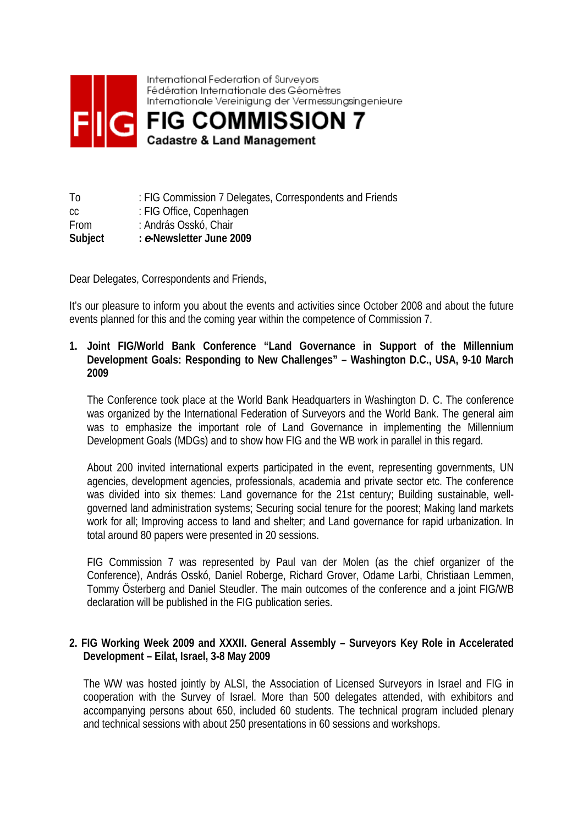

| Τo          | : FIG Commission 7 Delegates, Correspondents and Friends |
|-------------|----------------------------------------------------------|
| CC          | : FIG Office, Copenhagen                                 |
| <b>From</b> | : András Osskó, Chair                                    |
| Subject     | : e-Newsletter June 2009                                 |

Dear Delegates, Correspondents and Friends,

It's our pleasure to inform you about the events and activities since October 2008 and about the future events planned for this and the coming year within the competence of Commission 7.

#### **1. Joint FIG/World Bank Conference "Land Governance in Support of the Millennium Development Goals: Responding to New Challenges" – Washington D.C., USA, 9-10 March 2009**

The Conference took place at the World Bank Headquarters in Washington D. C. The conference was organized by the International Federation of Surveyors and the World Bank. The general aim was to emphasize the important role of Land Governance in implementing the Millennium Development Goals (MDGs) and to show how FIG and the WB work in parallel in this regard.

About 200 invited international experts participated in the event, representing governments, UN agencies, development agencies, professionals, academia and private sector etc. The conference was divided into six themes: Land governance for the 21st century; Building sustainable, wellgoverned land administration systems; Securing social tenure for the poorest; Making land markets work for all; Improving access to land and shelter; and Land governance for rapid urbanization. In total around 80 papers were presented in 20 sessions.

FIG Commission 7 was represented by Paul van der Molen (as the chief organizer of the Conference), András Osskó, Daniel Roberge, Richard Grover, Odame Larbi, Christiaan Lemmen, Tommy Österberg and Daniel Steudler. The main outcomes of the conference and a joint FIG/WB declaration will be published in the FIG publication series.

#### **2. FIG Working Week 2009 and XXXII. General Assembly – Surveyors Key Role in Accelerated Development – Eilat, Israel, 3-8 May 2009**

The WW was hosted jointly by ALSI, the Association of Licensed Surveyors in Israel and FIG in cooperation with the Survey of Israel. More than 500 delegates attended, with exhibitors and accompanying persons about 650, included 60 students. The technical program included plenary and technical sessions with about 250 presentations in 60 sessions and workshops.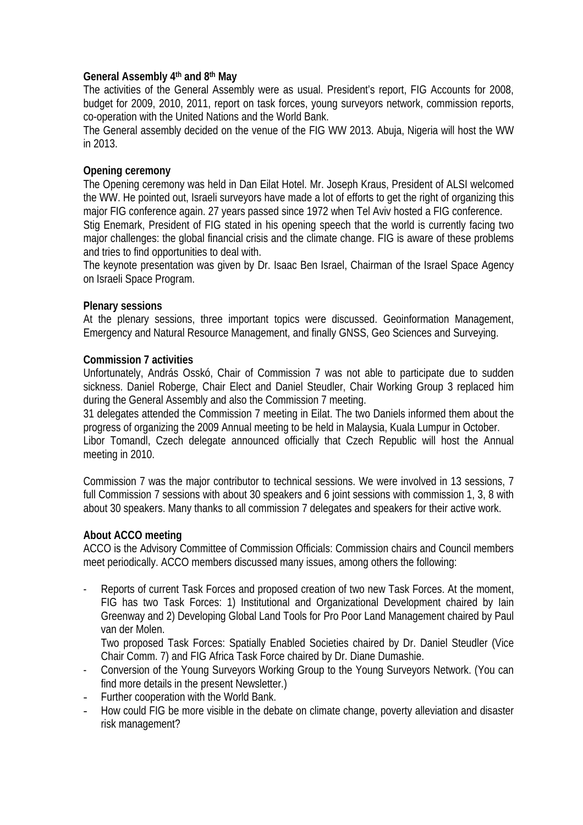#### **General Assembly 4th and 8th May**

The activities of the General Assembly were as usual. President's report, FIG Accounts for 2008, budget for 2009, 2010, 2011, report on task forces, young surveyors network, commission reports, co-operation with the United Nations and the World Bank.

The General assembly decided on the venue of the FIG WW 2013. Abuja, Nigeria will host the WW in 2013.

#### **Opening ceremony**

The Opening ceremony was held in Dan Eilat Hotel. Mr. Joseph Kraus, President of ALSI welcomed the WW. He pointed out, Israeli surveyors have made a lot of efforts to get the right of organizing this major FIG conference again. 27 years passed since 1972 when Tel Aviv hosted a FIG conference. Stig Enemark, President of FIG stated in his opening speech that the world is currently facing two major challenges: the global financial crisis and the climate change. FIG is aware of these problems and tries to find opportunities to deal with.

The keynote presentation was given by Dr. Isaac Ben Israel, Chairman of the Israel Space Agency on Israeli Space Program.

#### **Plenary sessions**

At the plenary sessions, three important topics were discussed. Geoinformation Management, Emergency and Natural Resource Management, and finally GNSS, Geo Sciences and Surveying.

#### **Commission 7 activities**

Unfortunately, András Osskó, Chair of Commission 7 was not able to participate due to sudden sickness. Daniel Roberge, Chair Elect and Daniel Steudler, Chair Working Group 3 replaced him during the General Assembly and also the Commission 7 meeting.

31 delegates attended the Commission 7 meeting in Eilat. The two Daniels informed them about the progress of organizing the 2009 Annual meeting to be held in Malaysia, Kuala Lumpur in October. Libor Tomandl, Czech delegate announced officially that Czech Republic will host the Annual meeting in 2010.

Commission 7 was the major contributor to technical sessions. We were involved in 13 sessions, 7 full Commission 7 sessions with about 30 speakers and 6 joint sessions with commission 1, 3, 8 with about 30 speakers. Many thanks to all commission 7 delegates and speakers for their active work.

#### **About ACCO meeting**

ACCO is the Advisory Committee of Commission Officials: Commission chairs and Council members meet periodically. ACCO members discussed many issues, among others the following:

- Reports of current Task Forces and proposed creation of two new Task Forces. At the moment, FIG has two Task Forces: 1) Institutional and Organizational Development chaired by Iain Greenway and 2) Developing Global Land Tools for Pro Poor Land Management chaired by Paul van der Molen.

Two proposed Task Forces: Spatially Enabled Societies chaired by Dr. Daniel Steudler (Vice Chair Comm. 7) and FIG Africa Task Force chaired by Dr. Diane Dumashie.

- Conversion of the Young Surveyors Working Group to the Young Surveyors Network. (You can find more details in the present Newsletter.)
- Further cooperation with the World Bank.
- How could FIG be more visible in the debate on climate change, poverty alleviation and disaster risk management?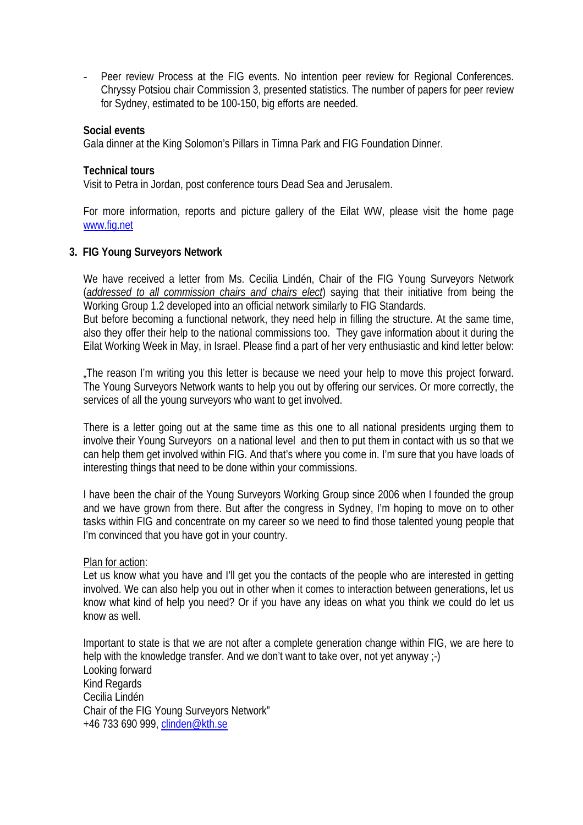Peer review Process at the FIG events. No intention peer review for Regional Conferences. Chryssy Potsiou chair Commission 3, presented statistics. The number of papers for peer review for Sydney, estimated to be 100-150, big efforts are needed.

#### **Social events**

Gala dinner at the King Solomon's Pillars in Timna Park and FIG Foundation Dinner.

#### **Technical tours**

Visit to Petra in Jordan, post conference tours Dead Sea and Jerusalem.

For more information, reports and picture gallery of the Eilat WW, please visit the home page [www.fig.net](http://www.fig,net/) 

#### **3. FIG Young Surveyors Network**

We have received a letter from Ms. Cecilia Lindén, Chair of the FIG Young Surveyors Network (*addressed to all commission chairs and chairs elect*) saying that their initiative from being the Working Group 1.2 developed into an official network similarly to FIG Standards.

But before becoming a functional network, they need help in filling the structure. At the same time, also they offer their help to the national commissions too. They gave information about it during the Eilat Working Week in May, in Israel. Please find a part of her very enthusiastic and kind letter below:

"The reason I'm writing you this letter is because we need your help to move this project forward. The Young Surveyors Network wants to help you out by offering our services. Or more correctly, the services of all the young surveyors who want to get involved.

There is a letter going out at the same time as this one to all national presidents urging them to involve their Young Surveyors on a national level and then to put them in contact with us so that we can help them get involved within FIG. And that's where you come in. I'm sure that you have loads of interesting things that need to be done within your commissions.

I have been the chair of the Young Surveyors Working Group since 2006 when I founded the group and we have grown from there. But after the congress in Sydney, I'm hoping to move on to other tasks within FIG and concentrate on my career so we need to find those talented young people that I'm convinced that you have got in your country.

#### Plan for action:

Let us know what you have and I'll get you the contacts of the people who are interested in getting involved. We can also help you out in other when it comes to interaction between generations, let us know what kind of help you need? Or if you have any ideas on what you think we could do let us know as well.

Important to state is that we are not after a complete generation change within FIG, we are here to help with the knowledge transfer. And we don't want to take over, not yet anyway :-) Looking forward Kind Regards Cecilia Lindén Chair of the FIG Young Surveyors Network" +46 733 690 999, [clinden@kth.se](mailto:clinden@kth.se)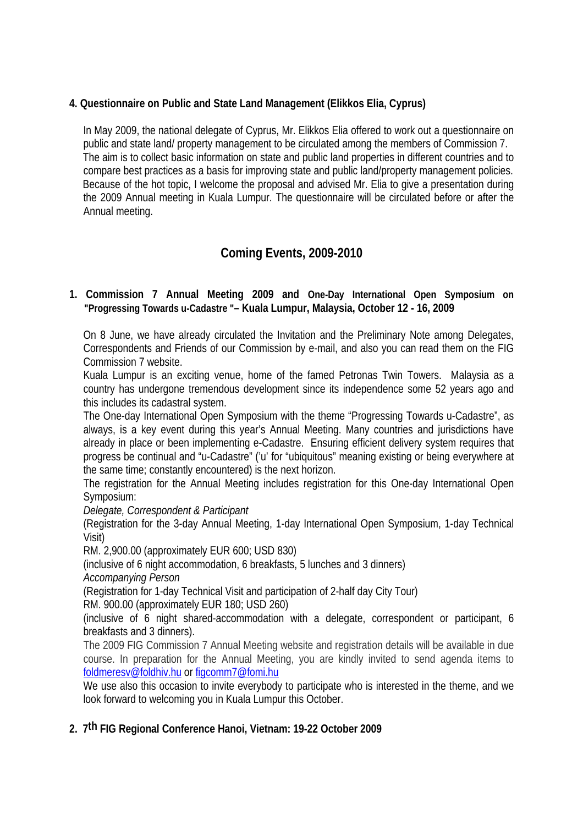### **4. Questionnaire on Public and State Land Management (Elikkos Elia, Cyprus)**

In May 2009, the national delegate of Cyprus, Mr. Elikkos Elia offered to work out a questionnaire on public and state land/ property management to be circulated among the members of Commission 7. The aim is to collect basic information on state and public land properties in different countries and to compare best practices as a basis for improving state and public land/property management policies. Because of the hot topic, I welcome the proposal and advised Mr. Elia to give a presentation during the 2009 Annual meeting in Kuala Lumpur. The questionnaire will be circulated before or after the Annual meeting.

# **Coming Events, 2009-2010**

### **1. Commission 7 Annual Meeting 2009 and One-Day International Open Symposium on "Progressing Towards u-Cadastre "– Kuala Lumpur, Malaysia, October 12 - 16, 2009**

On 8 June, we have already circulated the Invitation and the Preliminary Note among Delegates, Correspondents and Friends of our Commission by e-mail, and also you can read them on the FIG Commission 7 website.

Kuala Lumpur is an exciting venue, home of the famed Petronas Twin Towers. Malaysia as a country has undergone tremendous development since its independence some 52 years ago and this includes its cadastral system.

The One-day International Open Symposium with the theme "Progressing Towards u-Cadastre", as always, is a key event during this year's Annual Meeting. Many countries and jurisdictions have already in place or been implementing e-Cadastre. Ensuring efficient delivery system requires that progress be continual and "u-Cadastre" ('u' for "ubiquitous" meaning existing or being everywhere at the same time; constantly encountered) is the next horizon.

The registration for the Annual Meeting includes registration for this One-day International Open Symposium:

*Delegate, Correspondent & Participant* 

(Registration for the 3-day Annual Meeting, 1-day International Open Symposium, 1-day Technical Visit)

RM. 2,900.00 (approximately EUR 600; USD 830)

(inclusive of 6 night accommodation, 6 breakfasts, 5 lunches and 3 dinners)

*Accompanying Person*

(Registration for 1-day Technical Visit and participation of 2-half day City Tour)

RM. 900.00 (approximately EUR 180; USD 260)

(inclusive of 6 night shared-accommodation with a delegate, correspondent or participant, 6 breakfasts and 3 dinners).

The 2009 FIG Commission 7 Annual Meeting website and registration details will be available in due course. In preparation for the Annual Meeting, you are kindly invited to send agenda items to [foldmeresv@foldhiv.hu](mailto:foldmeresv@foldhiv.hu) or [figcomm7@fomi.hu](mailto:figcomm7@fomi.hu)

We use also this occasion to invite everybody to participate who is interested in the theme, and we look forward to welcoming you in Kuala Lumpur this October.

# **2. 7th FIG Regional Conference Hanoi, Vietnam: 19-22 October 2009**